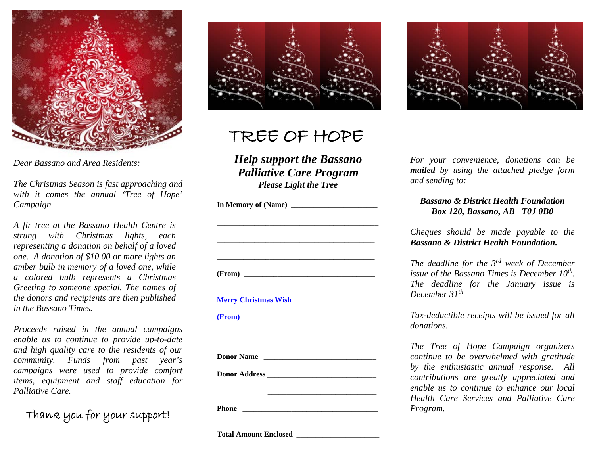

*Dear Bassano and Area Residents:*

*The Christmas Season is fast approaching and with it comes the annual 'Tree of Hope' Campaign.*

*A fir tree at the Bassano Health Centre is strung with Christmas lights, each representing a donation on behalf of a loved one. A donation of \$10.00 or more lights an amber bulb in memory of a loved one, while a colored bulb represents a Christmas Greeting to someone special. The names of the donors and recipients are then published in the Bassano Times.*

*Proceeds raised in the annual campaigns enable us to continue to provide up-to-date and high quality care to the residents of our community. Funds from past year's campaigns were used to provide comfort items, equipment and staff education for Palliative Care.*

Thank you for your support!



## TREE OF HOPE

*Help support the Bassano Palliative Care Program Please Light the Tree*

| Merry Christmas Wish |  |
|----------------------|--|

 $(From)$ 

Donor Name

 **\_\_\_\_\_\_\_\_\_\_\_\_\_\_\_\_\_\_\_\_\_\_\_\_\_\_\_\_\_**

**Donor Address \_\_\_\_\_\_\_\_\_\_\_\_\_\_\_\_\_\_\_\_\_\_\_\_\_\_\_\_\_**

**Phone \_\_\_\_\_\_\_\_\_\_\_\_\_\_\_\_\_\_\_\_\_\_\_\_\_\_\_\_\_\_\_\_\_\_\_\_**

*For your convenience, donations can be mailed by using the attached pledge form and sending to:*

## *Bassano & District Health Foundation Box 120, Bassano, AB T0J 0B0*

*Cheques should be made payable to the Bassano & District Health Foundation.* 

*The deadline for the 3rd week of December issue of the Bassano Times is December 10<sup>th</sup>. The deadline for the January issue is December 31th*

*Tax-deductible receipts will be issued for all donations.*

*The Tree of Hope Campaign organizers continue to be overwhelmed with gratitude by the enthusiastic annual response. All contributions are greatly appreciated and enable us to continue to enhance our local Health Care Services and Palliative Care Program.*

**Total Amount Enclosed \_\_\_\_\_\_\_\_\_\_\_\_\_\_\_\_\_\_\_\_\_\_**